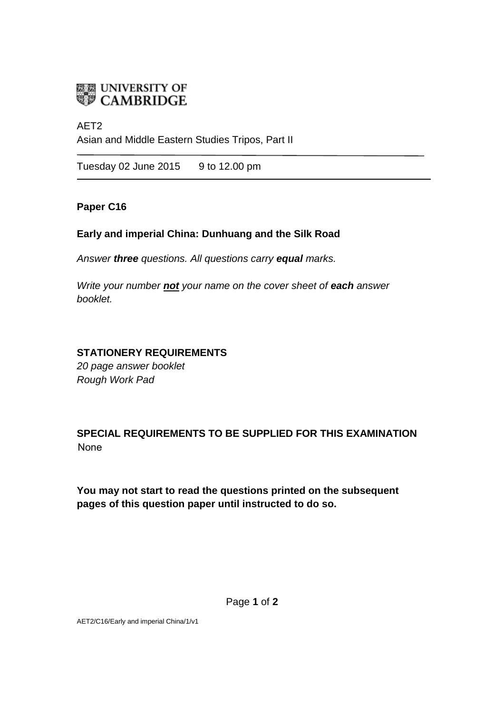

AET2 Asian and Middle Eastern Studies Tripos, Part II

Tuesday 02 June 2015 9 to 12.00 pm

#### **Paper C16**

## **Early and imperial China: Dunhuang and the Silk Road**

*Answer three questions. All questions carry equal marks.*

*Write your number not your name on the cover sheet of each answer booklet.* 

## **STATIONERY REQUIREMENTS**

*20 page answer booklet Rough Work Pad*

**SPECIAL REQUIREMENTS TO BE SUPPLIED FOR THIS EXAMINATION**  None

**You may not start to read the questions printed on the subsequent pages of this question paper until instructed to do so.** 

Page **1** of **2** 

AET2/C16/Early and imperial China/1/v1